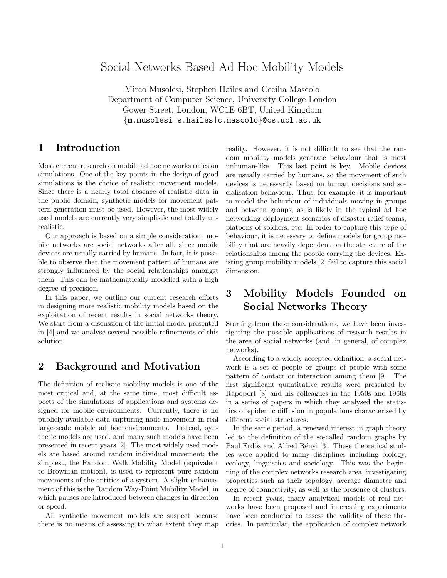# Social Networks Based Ad Hoc Mobility Models

Mirco Musolesi, Stephen Hailes and Cecilia Mascolo Department of Computer Science, University College London Gower Street, London, WC1E 6BT, United Kingdom {m.musolesi|s.hailes|c.mascolo}@cs.ucl.ac.uk

### 1 Introduction

Most current research on mobile ad hoc networks relies on simulations. One of the key points in the design of good simulations is the choice of realistic movement models. Since there is a nearly total absence of realistic data in the public domain, synthetic models for movement pattern generation must be used. However, the most widely used models are currently very simplistic and totally unrealistic.

Our approach is based on a simple consideration: mobile networks are social networks after all, since mobile devices are usually carried by humans. In fact, it is possible to observe that the movement pattern of humans are strongly influenced by the social relationships amongst them. This can be mathematically modelled with a high degree of precision.

In this paper, we outline our current research efforts in designing more realistic mobility models based on the exploitation of recent results in social networks theory. We start from a discussion of the initial model presented in [4] and we analyse several possible refinements of this solution.

### 2 Background and Motivation

The definition of realistic mobility models is one of the most critical and, at the same time, most difficult aspects of the simulations of applications and systems designed for mobile environments. Currently, there is no publicly available data capturing node movement in real large-scale mobile ad hoc environments. Instead, synthetic models are used, and many such models have been presented in recent years [2]. The most widely used models are based around random individual movement; the simplest, the Random Walk Mobility Model (equivalent to Brownian motion), is used to represent pure random movements of the entities of a system. A slight enhancement of this is the Random Way-Point Mobility Model, in which pauses are introduced between changes in direction or speed.

All synthetic movement models are suspect because there is no means of assessing to what extent they map reality. However, it is not difficult to see that the random mobility models generate behaviour that is most unhuman-like. This last point is key. Mobile devices are usually carried by humans, so the movement of such devices is necessarily based on human decisions and socialisation behaviour. Thus, for example, it is important to model the behaviour of individuals moving in groups and between groups, as is likely in the typical ad hoc networking deployment scenarios of disaster relief teams, platoons of soldiers, etc. In order to capture this type of behaviour, it is necessary to define models for group mobility that are heavily dependent on the structure of the relationships among the people carrying the devices. Existing group mobility models [2] fail to capture this social dimension.

# 3 Mobility Models Founded on Social Networks Theory

Starting from these considerations, we have been investigating the possible applications of research results in the area of social networks (and, in general, of complex networks).

According to a widely accepted definition, a social network is a set of people or groups of people with some pattern of contact or interaction among them [9]. The first significant quantitative results were presented by Rapoport [8] and his colleagues in the 1950s and 1960s in a series of papers in which they analysed the statistics of epidemic diffusion in populations characterised by different social structures.

In the same period, a renewed interest in graph theory led to the definition of the so-called random graphs by Paul Erdős and Alfred Rényi [3]. These theoretical studies were applied to many disciplines including biology, ecology, linguistics and sociology. This was the beginning of the complex networks research area, investigating properties such as their topology, average diameter and degree of connectivity, as well as the presence of clusters.

In recent years, many analytical models of real networks have been proposed and interesting experiments have been conducted to assess the validity of these theories. In particular, the application of complex network